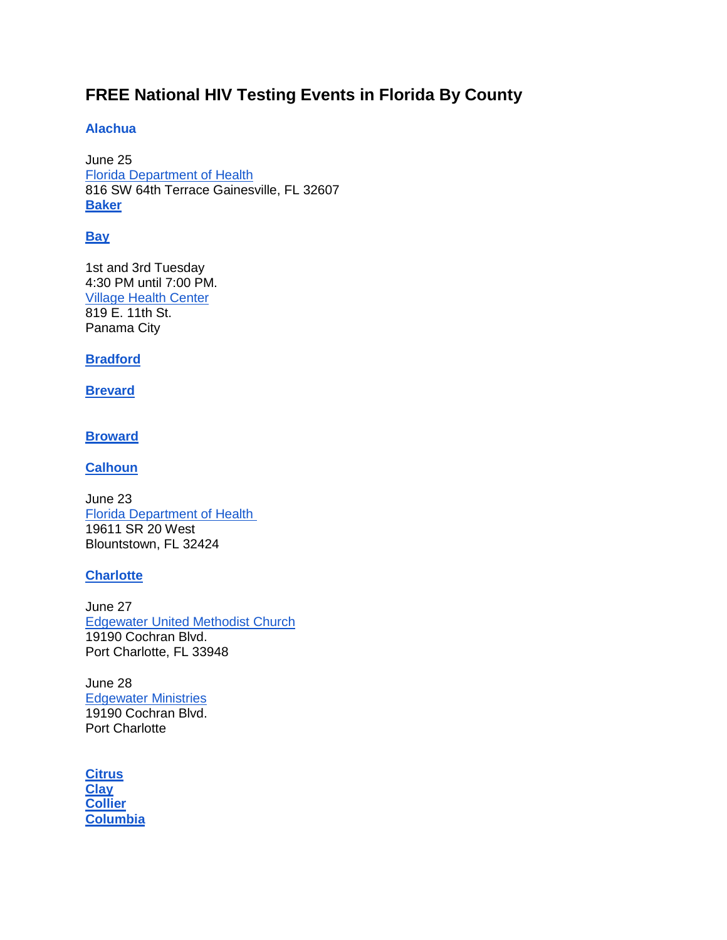# **FREE National HIV Testing Events in Florida By County**

# **[Alachua](http://www.alachuacounty.us/)**

June 25 [Florida Department of Health](http://www.wemakethechange.com/events/free-hiv-std-testing-2/) 816 SW 64th Terrace Gainesville, FL 32607 **[Baker](http://www.rootsweb.com/~flbaker/)**

# **[Bay](http://www.co.bay.fl.us/)**

1st and 3rd Tuesday 4:30 PM until 7:00 PM. [Village Health Center](http://www.communityhealthtaskforce.org/EventsDetail.aspx?nNum=9) 819 E. 11th St. Panama City

**[Bradford](http://www.bradford-co-fla.org/)**

**[Brevard](http://www.brevardcounty.us/)**

**[Broward](http://www.broward.org/Pages/Welcome.aspx)**

**[Calhoun](http://www.calhounco.org/)**

June 23 [Florida Department of Health](http://www.wemakethechange.com/events/free-rapid-hiv-and-hepatitis-c-testing/) 19611 SR 20 West Blountstown, FL 32424

# **[Charlotte](http://www.charlottecountyfl.com/)**

June 27 [Edgewater United Methodist Church](http://www.wemakethechange.com/events/free-hiv-std-testing/) 19190 Cochran Blvd. Port Charlotte, FL 33948

June 28 [Edgewater Ministries](https://www.scgov.net/Lists/County%20News/DispForm.aspx?ID=963&ContentTypeId=0x0104009625877DBECC024183C12ECD3DB90563) 19190 Cochran Blvd. Port Charlotte

**[Citrus](http://www.citruscountyfl.org/) [Clay](http://www.claycountygov.com/) [Collier](http://www.colliergov.net/) [Columbia](http://www.columbiacountyfla.com/)**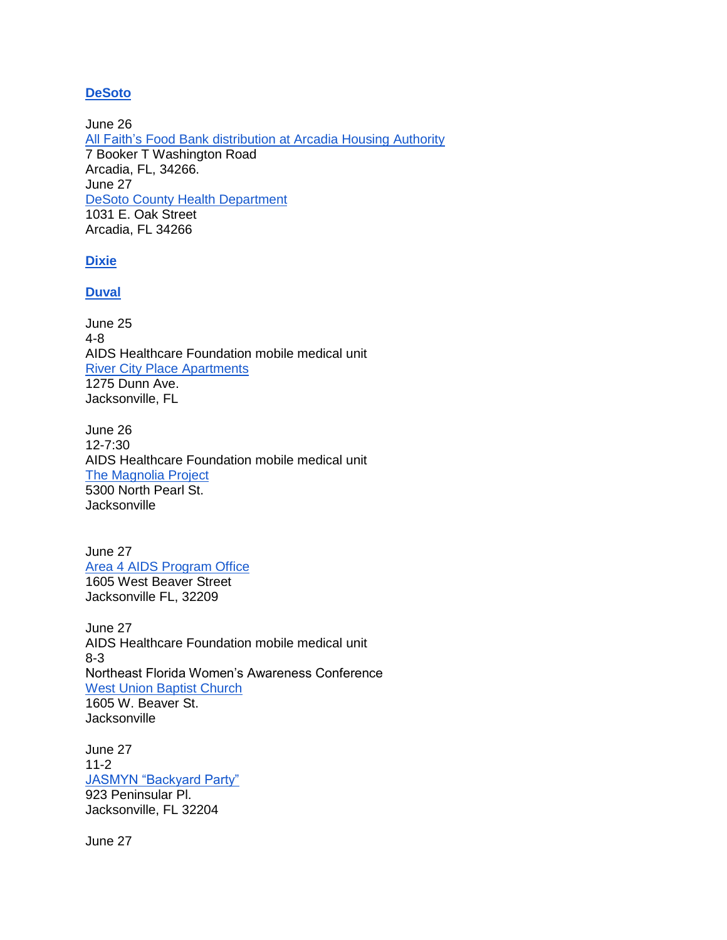# **[DeSoto](http://co.desoto.fl.us/)**

June 26 [All Faith's Food Bank distribution at Arcadia Housing Authority](http://www.wemakethechange.com/events/free-hivstd-testing-more/) 7 Booker T Washington Road Arcadia, FL, 34266. June 27 [DeSoto County Health Department](http://www.wemakethechange.com/events/free-hiv-testing-more/) 1031 E. Oak Street Arcadia, FL 34266

# **[Dixie](http://dixie.fl.gov/)**

#### **[Duval](http://www.coj.net/)**

June 25 4-8 AIDS Healthcare Foundation mobile medical unit [River City Place Apartments](http://neflworldaidsday.org/m/events/view/Free-Hiv-Testing-2015-06-04-13) 1275 Dunn Ave. Jacksonville, FL

June 26 12-7:30 AIDS Healthcare Foundation mobile medical unit [The Magnolia Project](http://neflworldaidsday.org/m/events/view/Free-Hiv-Testing-2015-06-04-14) 5300 North Pearl St. **Jacksonville** 

June 27 [Area 4 AIDS Program Office](http://www.wemakethechange.com/events/northeast-florida-awareness-conference-presents-its-a-family-affair/) 1605 West Beaver Street Jacksonville FL, 32209

June 27 AIDS Healthcare Foundation mobile medical unit 8-3 Northeast Florida Women's Awareness Conference [West Union Baptist Church](http://neflworldaidsday.org/m/events/view/Free-Hiv-Testing-2015-06-04-15) 1605 W. Beaver St. **Jacksonville** 

June 27 11-2 [JASMYN "Backyard Party"](http://neflworldaidsday.org/m/events/view/National-HIV-Testing-Day) 923 Peninsular Pl. Jacksonville, FL 32204

June 27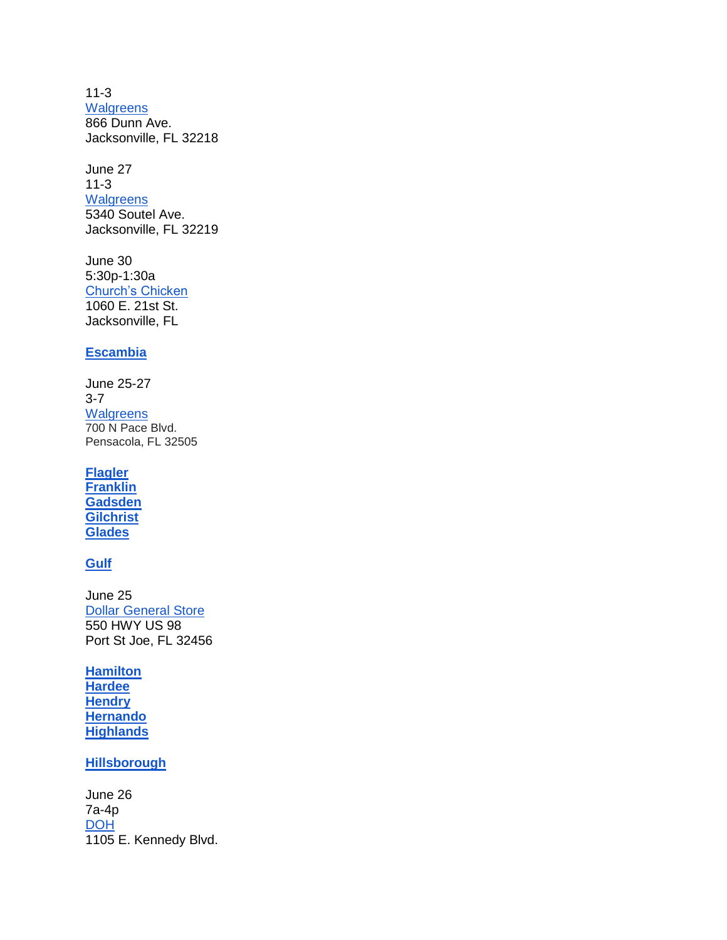11-3 **[Walgreens](http://neflworldaidsday.org/m/events/view/National-HIV-Testing-Day-2015-06-16)** 866 Dunn Ave. Jacksonville, FL 32218

June 27 11-3 **[Walgreens](http://neflworldaidsday.org/m/events/view/National-HIV-Testing-Day-2015-06-16-0)** 5340 Soutel Ave. Jacksonville, FL 32219

June 30 5:30p-1:30a [Church's Chicken](http://neflworldaidsday.org/m/events/view/Free-Hiv-Testing-2015-06-04-16) 1060 E. 21st St. Jacksonville, FL

# **[Escambia](http://www.co.escambia.fl.us/)**

June 25-27 3-7 **[Walgreens](http://escambia.floridahealth.gov/events/2015/06/5210%20Day%20of%20Play.html)** 700 N Pace Blvd. Pensacola, FL 32505

**[Flagler](http://www.flaglercounty.org/) [Franklin](http://www.franklincountyflorida.com/) [Gadsden](http://www.gadsdencc.com/) [Gilchrist](http://gilchrist.fl.us/) [Glades](http://www.myglades.com/)**

### **[Gulf](http://www.gulfcounty-fl.gov/)**

June 25 [Dollar General Store](http://www.wemakethechange.com/events/free-rapid-hiv-and-hepatitis-c-testing-2/) 550 HWY US 98 Port St Joe, FL 32456

**[Hamilton](http://www.hamiltoncountyflorida.com/) [Hardee](http://www.hardeecounty.net/) [Hendry](http://www.hendryfla.net/) [Hernando](http://www.co.hernando.fl.us/) [Highlands](http://www.hcbcc.net/)**

**[Hillsborough](http://www.hillsboroughcounty.org/)**

June 26 7a-4p [DOH](http://hillsborough.floridahealth.gov/events/2015/06/national-hiv-testing-day.html) 1105 E. Kennedy Blvd.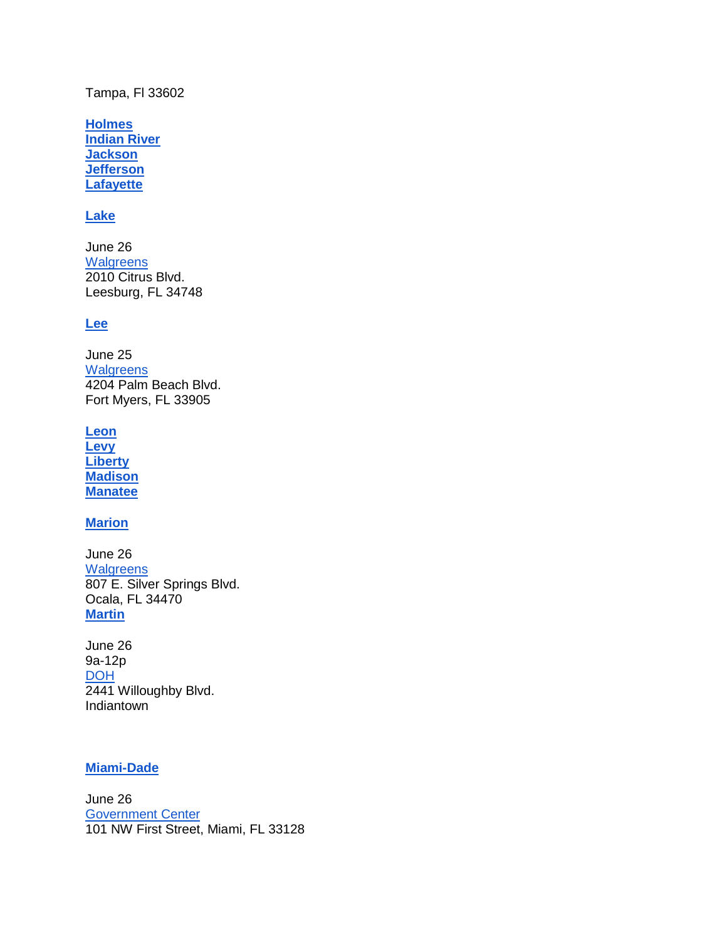Tampa, Fl 33602

**[Holmes](http://www.holmescountyonline.com/) [Indian River](http://indian-river.fl.us/government/) [Jackson](http://www.jacksoncountyfl.net/) [Jefferson](http://www.co.jefferson.fl.us/) [Lafayette](http://www.lafayettecountyflorida.org/)**

### **[Lake](http://www.co.lake.fl.us/)**

June 26 **[Walgreens](http://www.wemakethechange.com/events/walgreens-free-hiv-test/)** 2010 Citrus Blvd. Leesburg, FL 34748

#### **[Lee](http://www.leegov.com/Pages/default.aspx)**

June 25 **[Walgreens](http://www.wemakethechange.com/events/get-a-free-rapid-hiv-test/)** 4204 Palm Beach Blvd. Fort Myers, FL 33905

**[Leon](http://cms.leoncountyfl.gov/) [Levy](http://www.levycounty.org/) [Liberty](http://www.libertycountyflorida.com/) [Madison](http://www.madisoncountyfl.com/) [Manatee](http://www.mymanatee.org/home.html)**

# **[Marion](http://www.marioncountyfl.org/)**

June 26 **[Walgreens](http://www.wemakethechange.com/events/free-rapid-hiv-test-3/)** 807 E. Silver Springs Blvd. Ocala, FL 34470 **[Martin](http://www.martin.fl.us/)**

June 26 9a-12p **[DOH](http://martin.floridahealth.gov/events/2015/06/freetesting.html)** 2441 Willoughby Blvd. Indiantown

#### **[Miami-Dade](http://miamidade.gov/)**

June 26 **[Government Center](http://testmiami.org/Pages/Dynamic/EventsDetails.aspx?ID=fbc435e8-49f0-46a6-9e92-859bcbf49c2c)** 101 NW First Street, Miami, FL 33128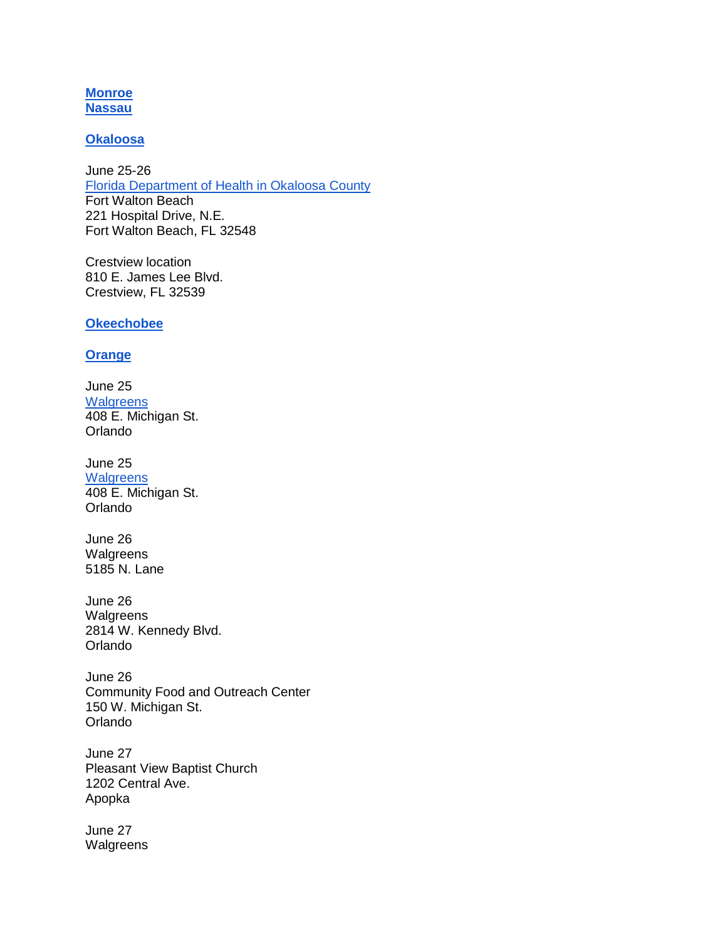**[Monroe](http://egov.monroecounty-fl.gov/eGovPlus/entity/login_main.aspx) [Nassau](http://www.nassaucountyfl.com/)**

#### **[Okaloosa](http://www.co.okaloosa.fl.us/)**

June 25-26 [Florida Department of Health in Okaloosa County](http://okaloosa.floridahealth.gov/events/2015/06/National%20HIV%20Testing%20Day%20-%20FWB.html) Fort Walton Beach 221 Hospital Drive, N.E. Fort Walton Beach, FL 32548

Crestview location 810 E. James Lee Blvd. Crestview, FL 32539

**[Okeechobee](http://www.co.okeechobee.fl.us/)**

### **[Orange](http://www.orangecountyfl.net/)**

June 25 **[Walgreens](http://www.mynews13.com/content/news/cfnews13/community/community-calendar/orange-events.html)** 408 E. Michigan St. Orlando

June 25 **[Walgreens](http://www.mynews13.com/content/news/cfnews13/community/community-calendar.html)** 408 E. Michigan St. Orlando

June 26 Walgreens 5185 N. Lane

June 26 **Walgreens** 2814 W. Kennedy Blvd. Orlando

June 26 Community Food and Outreach Center 150 W. Michigan St. Orlando

June 27 Pleasant View Baptist Church 1202 Central Ave. Apopka

June 27 Walgreens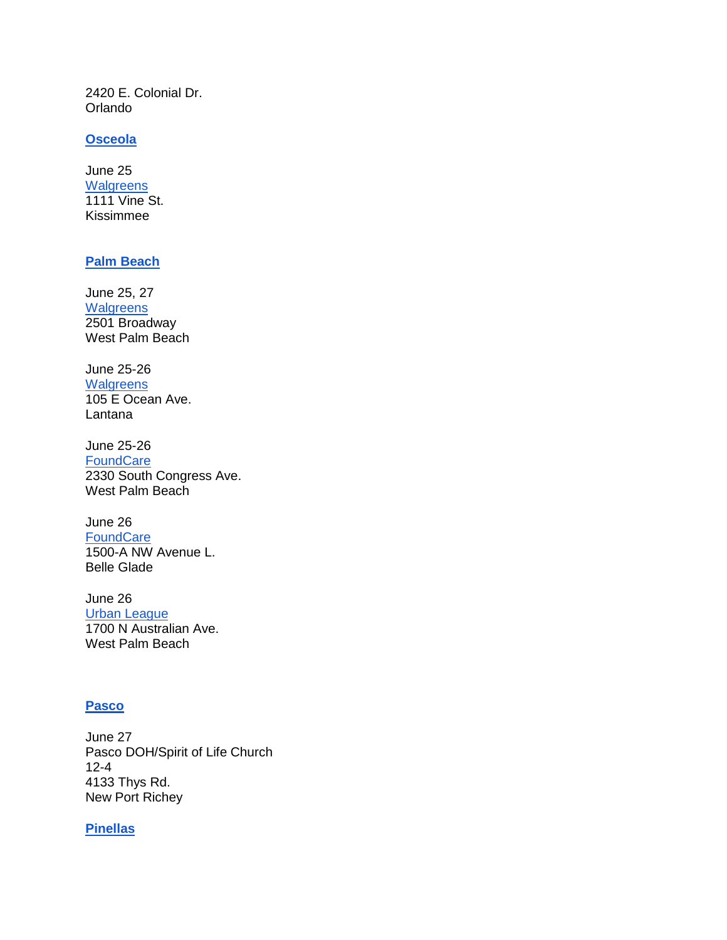2420 E. Colonial Dr. Orlando

#### **[Osceola](http://www.osceola.org/)**

June 25 **[Walgreens](http://www.mynews13.com/content/news/cfnews13/community/community-calendar.html)** 1111 Vine St. Kissimmee

# **[Palm Beach](http://www.co.palm-beach.fl.us/)**

June 25, 27 **[Walgreens](http://www.wemakethechange.com/events/free-hiv-testing-108/)** 2501 Broadway West Palm Beach

June 25-26 **Walgreens** 105 E Ocean Ave. Lantana

June 25-26 **FoundCare** 2330 South Congress Ave. West Palm Beach

June 26 **[FoundCare](http://www.foundcare.org/public/docs/National%20HIV%20Testing%20Day.pdf)** 1500-A NW Avenue L. Belle Glade

June 26 [Urban League](http://www.foundcare.org/public/docs/National%20HIV%20Testing%20Day.pdf) 1700 N Australian Ave. West Palm Beach

# **[Pasco](http://www.pascocountyfl.net/)**

June 27 Pasco DOH/Spirit of Life Church 12-4 4133 Thys Rd. New Port Richey

#### **[Pinellas](http://www.pinellascounty.org/)**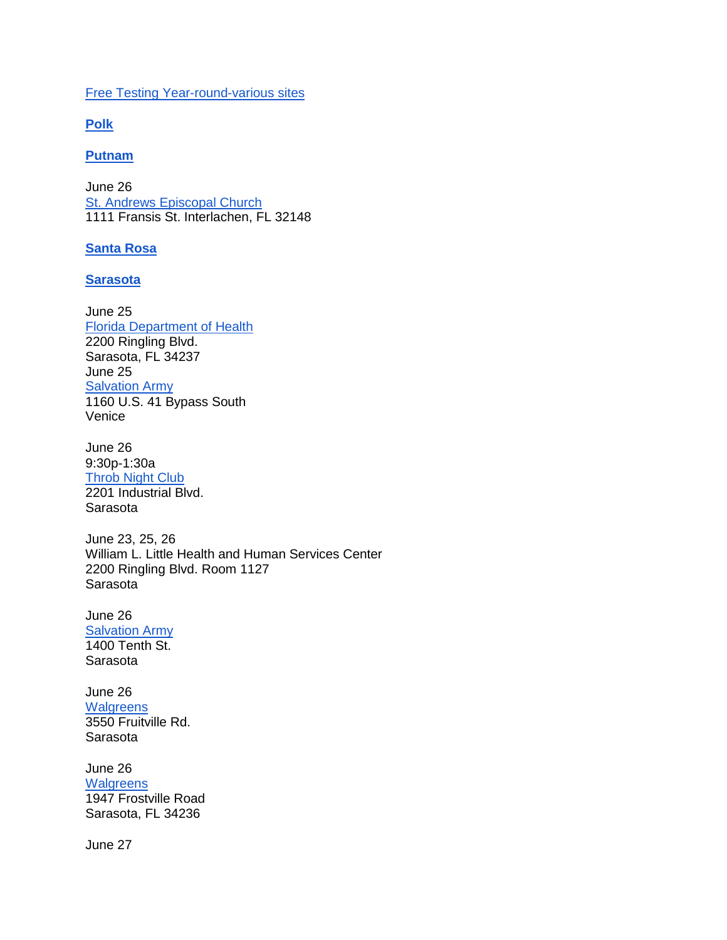# [Free Testing Year-round-various sites](http://pinellas.floridahealth.gov/programs-and-services/infectious-disease-services/std/_documents/hiv-test-sites.pdf)

**[Polk](http://www.polk-county.net/)**

**[Putnam](http://www.putnam-fl.com/)**

June 26 [St. Andrews Episcopal Church](http://www.wemakethechange.com/events/free-hiv-testing-110/) 1111 Fransis St. Interlachen, FL 32148

#### **[Santa Rosa](http://www.santarosa.fl.gov/)**

#### **[Sarasota](http://www.co.sarasota.fl.us/)**

June 25 [Florida Department of Health](http://www.wemakethechange.com/events/free-hiv-and-std-screenings/) 2200 Ringling Blvd. Sarasota, FL 34237 June 25 **Salvation Army** 1160 U.S. 41 Bypass South Venice

June 26 9:30p-1:30a [Throb Night Club](https://www.scgov.net/Lists/County%20News/DispForm.aspx?ID=963&ContentTypeId=0x0104009625877DBECC024183C12ECD3DB90563) 2201 Industrial Blvd. Sarasota

June 23, 25, 26 William L. Little Health and Human Services Center 2200 Ringling Blvd. Room 1127 Sarasota

June 26 **[Salvation Army](https://www.scgov.net/Lists/County%20News/DispForm.aspx?ID=963&ContentTypeId=0x0104009625877DBECC024183C12ECD3DB90563)** 1400 Tenth St. Sarasota

June 26 **[Walgreens](https://www.scgov.net/Lists/County%20News/DispForm.aspx?ID=963&ContentTypeId=0x0104009625877DBECC024183C12ECD3DB90563)** 3550 Fruitville Rd. Sarasota

June 26 **[Walgreens](http://www.wemakethechange.com/events/free-rapid-hiv-test-2/)** 1947 Frostville Road Sarasota, FL 34236

June 27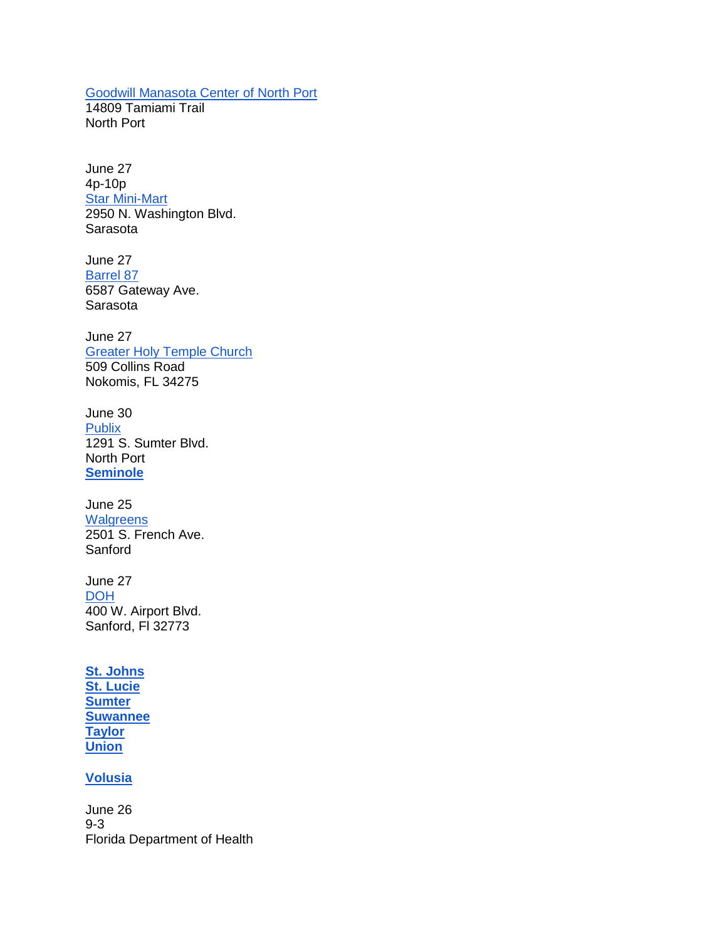[Goodwill Manasota Center of North Port](https://www.scgov.net/Lists/County%20News/DispForm.aspx?ID=963&ContentTypeId=0x0104009625877DBECC024183C12ECD3DB90563)

14809 Tamiami Trail North Port

June 27 4p-10p [Star Mini-Mart](https://www.scgov.net/Lists/County%20News/DispForm.aspx?ID=963&ContentTypeId=0x0104009625877DBECC024183C12ECD3DB90563) 2950 N. Washington Blvd. Sarasota

June 27 [Barrel 87](https://www.scgov.net/Lists/County%20News/DispForm.aspx?ID=963&ContentTypeId=0x0104009625877DBECC024183C12ECD3DB90563) 6587 Gateway Ave. Sarasota

June 27 **[Greater Holy Temple Church](http://www.wemakethechange.com/events/free-rapid-hiv-test/)** 509 Collins Road Nokomis, FL 34275

June 30 [Publix](https://www.scgov.net/Lists/County%20News/DispForm.aspx?ID=963&ContentTypeId=0x0104009625877DBECC024183C12ECD3DB90563) 1291 S. Sumter Blvd. North Port **[Seminole](http://www.co.seminole.fl.us/)**

June 25 **[Walgreens](http://www.mynews13.com/content/news/cfnews13/community/community-calendar.html)** 2501 S. French Ave. Sanford

June 27 **[DOH](http://seminole.floridahealth.gov/programs-and-services/infectious-disease-services/std/index.html)** 400 W. Airport Blvd. Sanford, Fl 32773

**[St. Johns](http://www.co.st-johns.fl.us/) [St. Lucie](http://www.stlucieco.gov/) [Sumter](http://sumtercountyfl.gov/) [Suwannee](http://www.suwcounty.org/) [Taylor](http://www.taylorflorida.com/) [Union](http://www.lake-butler.com/pbunhistor.htm)**

**[Volusia](http://www.volusia.org/)**

June 26 9-3 Florida Department of Health